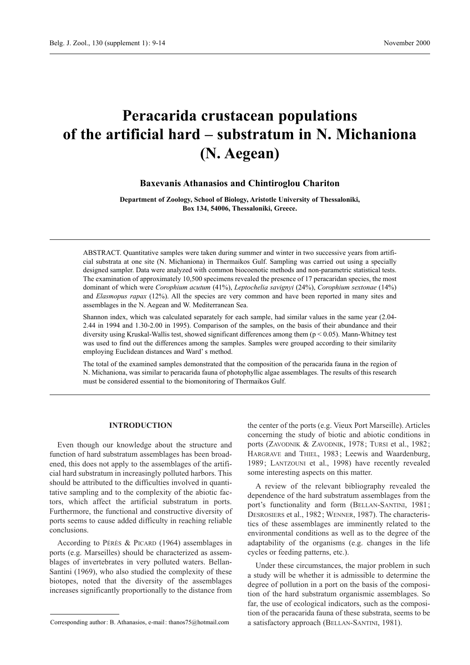# **Peracarida crustacean populations of the artificial hard – substratum in N. Michaniona (N. Aegean)**

## **Baxevanis Athanasios and Chintiroglou Chariton**

**Department of Zoology, School of Biology, Aristotle University of Thessaloniki, Box 134, 54006, Thessaloniki, Greece.**

ABSTRACT. Quantitative samples were taken during summer and winter in two successive years from artificial substrata at one site (N. Michaniona) in Thermaikos Gulf. Sampling was carried out using a specially designed sampler. Data were analyzed with common biocoenotic methods and non-parametric statistical tests. The examination of approximately 10,500 specimens revealed the presence of 17 peracaridan species, the most dominant of which were *Corophium acutum* (41%), *Leptochelia savignyi* (24%), *Corophium sextonae* (14%) and *Elasmopus rapax* (12%). All the species are very common and have been reported in many sites and assemblages in the N. Aegean and W. Mediterranean Sea.

Shannon index, which was calculated separately for each sample, had similar values in the same year (2.04- 2.44 in 1994 and 1.30-2.00 in 1995). Comparison of the samples, on the basis of their abundance and their diversity using Kruskal-Wallis test, showed significant differences among them (p < 0.05). Mann-Whitney test was used to find out the differences among the samples. Samples were grouped according to their similarity employing Euclidean distances and Ward' s method.

The total of the examined samples demonstrated that the composition of the peracarida fauna in the region of N. Michaniona, was similar to peracarida fauna of photophyllic algae assemblages. The results of this research must be considered essential to the biomonitoring of Thermaikos Gulf.

## **INTRODUCTION**

Even though our knowledge about the structure and function of hard substratum assemblages has been broadened, this does not apply to the assemblages of the artificial hard substratum in increasingly polluted harbors. This should be attributed to the difficulties involved in quantitative sampling and to the complexity of the abiotic factors, which affect the artificial substratum in ports. Furthermore, the functional and constructive diversity of ports seems to cause added difficulty in reaching reliable conclusions.

According to PÉRÈS & PICARD (1964) assemblages in ports (e.g. Marseilles) should be characterized as assemblages of invertebrates in very polluted waters. Bellan-Santini (1969), who also studied the complexity of these biotopes, noted that the diversity of the assemblages increases significantly proportionally to the distance from

the center of the ports (e.g. Vieux Port Marseille). Articles concerning the study of biotic and abiotic conditions in ports (ZAVODNIK & ZAVODNIK, 1978; TURSI et al., 1982; HARGRAVE and THIEL, 1983; Leewis and Waardenburg, 1989; LANTZOUNI et al., 1998) have recently revealed some interesting aspects on this matter.

A review of the relevant bibliography revealed the dependence of the hard substratum assemblages from the port's functionality and form (BELLAN-SANTINI, 1981; DESROSIERS et al., 1982; WENNER, 1987). The characteristics of these assemblages are imminently related to the environmental conditions as well as to the degree of the adaptability of the organisms (e.g. changes in the life cycles or feeding patterns, etc.).

Under these circumstances, the major problem in such a study will be whether it is admissible to determine the degree of pollution in a port on the basis of the composition of the hard substratum organismic assemblages. So far, the use of ecological indicators, such as the composition of the peracarida fauna of these substrata, seems to be a satisfactory approach (BELLAN-SANTINI, 1981).

Corresponding author: B. Athanasios, e-mail: thanos75@hotmail.com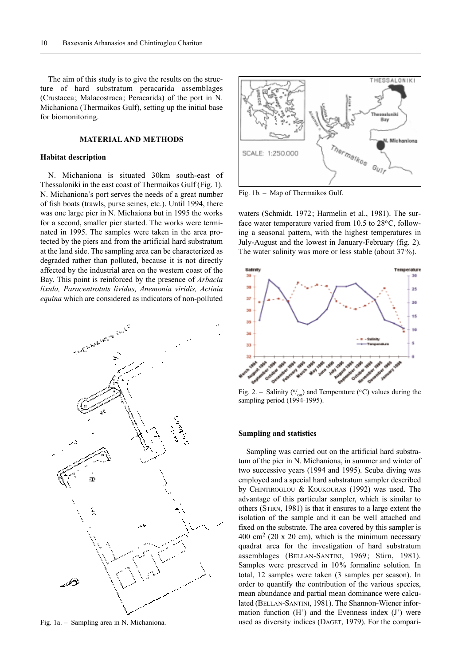The aim of this study is to give the results on the structure of hard substratum peracarida assemblages (Crustacea; Malacostraca; Peracarida) of the port in N. Michaniona (Thermaikos Gulf), setting up the initial base for biomonitoring.

## **MATERIAL AND METHODS**

#### **Habitat description**

N. Michaniona is situated 30km south-east of Thessaloniki in the east coast of Thermaikos Gulf (Fig. 1). N. Michaniona's port serves the needs of a great number of fish boats (trawls, purse seines, etc.). Until 1994, there was one large pier in N. Michaiona but in 1995 the works for a second, smaller pier started. The works were terminated in 1995. The samples were taken in the area protected by the piers and from the artificial hard substratum at the land side. The sampling area can be characterized as degraded rather than polluted, because it is not directly affected by the industrial area on the western coast of the Bay. This point is reinforced by the presence of *Arbacia lixula, Paracentrotuts lividus, Anemonia viridis, Actinia equina* which are considered as indicators of non-polluted



Fig. 1a. – Sampling area in N. Michaniona.



Fig. 1b. – Map of Thermaikos Gulf.

waters (Schmidt, 1972; Harmelin et al., 1981). The surface water temperature varied from 10.5 to 28°C, following a seasonal pattern, with the highest temperatures in July-August and the lowest in January-February (fig. 2). The water salinity was more or less stable (about 37%).



Fig. 2. – Salinity ( $O_{00}$ ) and Temperature (°C) values during the sampling period (1994-1995).

#### **Sampling and statistics**

Sampling was carried out on the artificial hard substratum of the pier in N. Michaniona, in summer and winter of two successive years (1994 and 1995). Scuba diving was employed and a special hard substratum sampler described by CHINTIROGLOU & KOUKOURAS (1992) was used. The advantage of this particular sampler, which is similar to others (STIRN, 1981) is that it ensures to a large extent the isolation of the sample and it can be well attached and fixed on the substrate. The area covered by this sampler is  $400 \text{ cm}^2$  (20 x 20 cm), which is the minimum necessary quadrat area for the investigation of hard substratum assemblages (BELLAN-SANTINI, 1969; Stirn, 1981). Samples were preserved in 10% formaline solution. In total, 12 samples were taken (3 samples per season). In order to quantify the contribution of the various species, mean abundance and partial mean dominance were calculated (BELLAN-SANTINI, 1981). The Shannon-Wiener information function  $(H')$  and the Evenness index  $(J')$  were used as diversity indices (DAGET, 1979). For the compari-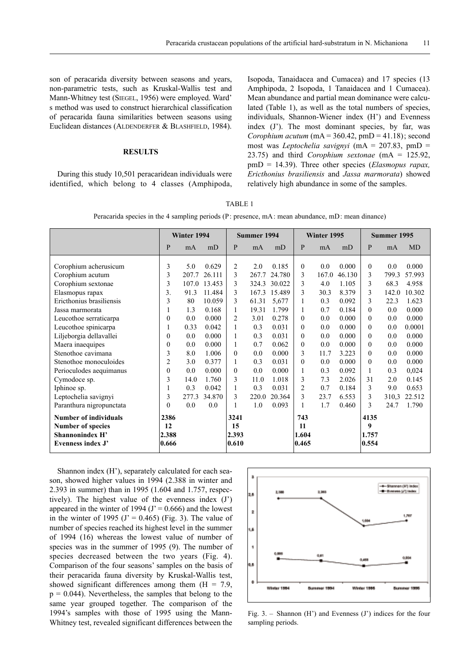son of peracarida diversity between seasons and years, non-parametric tests, such as Kruskal-Wallis test and Mann-Whitney test (SIEGEL, 1956) were employed. Ward' s method was used to construct hierarchical classification of peracarida fauna similarities between seasons using Euclidean distances (ALDENDERFER & BLASHFIELD, 1984).

# **RESULTS**

During this study 10,501 peracaridean individuals were identified, which belong to 4 classes (Amphipoda,

Isopoda, Tanaidacea and Cumacea) and 17 species (13 Amphipoda, 2 Isopoda, 1 Tanaidacea and 1 Cumacea). Mean abundance and partial mean dominance were calculated (Table 1), as well as the total numbers of species, individuals, Shannon-Wiener index (H') and Evenness index (J'). The most dominant species, by far, was *Corophium acutum* ( $mA = 360.42$ ,  $pmp = 41.18$ ); second most was *Leptochelia savignyi* (mA = 207.83, pmD = 23.75) and third *Corophium sextonae* (mA = 125.92, pmD = 14.39). Three other species (*Elasmopus rapax, Ericthonius brasiliensis* and *Jassa marmorata*) showed relatively high abundance in some of the samples.

Peracarida species in the 4 sampling periods (P: presence, mA: mean abundance, mD: mean dinance)

|                                                                                                                                                                                                                                                                                                                               | Winter 1994                                                                                             |                                                                                             |                                                                                                                                      | Summer 1994                                                                                                |                                                                                                   |                                                                                                                                     | Winter 1995                                                                                           |                                                                                                    |                                                                                                                             | Summer 1995                                                                                                                 |                                                                                                      |                                                                                                                               |
|-------------------------------------------------------------------------------------------------------------------------------------------------------------------------------------------------------------------------------------------------------------------------------------------------------------------------------|---------------------------------------------------------------------------------------------------------|---------------------------------------------------------------------------------------------|--------------------------------------------------------------------------------------------------------------------------------------|------------------------------------------------------------------------------------------------------------|---------------------------------------------------------------------------------------------------|-------------------------------------------------------------------------------------------------------------------------------------|-------------------------------------------------------------------------------------------------------|----------------------------------------------------------------------------------------------------|-----------------------------------------------------------------------------------------------------------------------------|-----------------------------------------------------------------------------------------------------------------------------|------------------------------------------------------------------------------------------------------|-------------------------------------------------------------------------------------------------------------------------------|
|                                                                                                                                                                                                                                                                                                                               | P                                                                                                       | mA                                                                                          | mD                                                                                                                                   | P                                                                                                          | mA                                                                                                | mD                                                                                                                                  | P                                                                                                     | mA                                                                                                 | mD                                                                                                                          | P                                                                                                                           | mA                                                                                                   | <b>MD</b>                                                                                                                     |
| Corophium acherusicum<br>Corophium acutum<br>Corophium sextonae<br>Elasmopus rapax<br>Ericthonius brasiliensis<br>Jassa marmorata<br>Leucothoe serraticarpa<br>Leucothoe spinicarpa<br>Liljeborgia dellavallei<br>Maera inaequipes<br>Stenothoe cavimana<br>Stenothoe monoculoides<br>Perioculodes aequimanus<br>Cymodoce sp. | 3<br>3<br>3<br>3.<br>3<br>$\theta$<br>1<br>$\theta$<br>$\Omega$<br>3<br>$\overline{c}$<br>$\theta$<br>3 | 5.0<br>207.7<br>91.3<br>80<br>1.3<br>0.0<br>0.33<br>0.0<br>0.0<br>8.0<br>3.0<br>0.0<br>14.0 | 0.629<br>26.111<br>107.0 13.453<br>11.484<br>10.059<br>0.168<br>0.000<br>0.042<br>0.000<br>0.000<br>1.006<br>0.377<br>0.000<br>1.760 | $\overline{2}$<br>3<br>3<br>3<br>3<br>1<br>$\overline{2}$<br>1<br>1<br>1<br>$\theta$<br>1<br>$\theta$<br>3 | 2.0<br>267.7<br>167.3<br>61.31<br>19.31<br>3.01<br>0.3<br>0.3<br>0.7<br>0.0<br>0.3<br>0.0<br>11.0 | 0.185<br>24.780<br>324.3 30.022<br>15.489<br>5,677<br>1.799<br>0.278<br>0.031<br>0.031<br>0.062<br>0.000<br>0.031<br>0.000<br>1.018 | $\theta$<br>3<br>3<br>3<br>$\theta$<br>$\theta$<br>$\theta$<br>$\boldsymbol{0}$<br>3<br>$\theta$<br>3 | 0.0<br>167.0<br>4.0<br>30.3<br>0.3<br>0.7<br>0.0<br>0.0<br>0.0<br>0.0<br>11.7<br>0.0<br>0.3<br>7.3 | 0.000<br>46.130<br>1.105<br>8.379<br>0.092<br>0.184<br>0.000<br>0.000<br>0.000<br>0.000<br>3.223<br>0.000<br>0.092<br>2.026 | $\theta$<br>3<br>3<br>3<br>3<br>$\theta$<br>$\Omega$<br>$\theta$<br>$\theta$<br>$\theta$<br>$\theta$<br>$\theta$<br>1<br>31 | 0.0<br>799.3<br>68.3<br>142.0<br>22.3<br>0.0<br>0.0<br>0.0<br>0.0<br>0.0<br>0.0<br>0.0<br>0.3<br>2.0 | 0.000<br>57.993<br>4.958<br>10.302<br>1.623<br>0.000<br>0.000<br>0.0001<br>0.000<br>0.000<br>0.000<br>0.000<br>0,024<br>0.145 |
| Iphinoe sp.<br>Leptochelia savignyi<br>Paranthura nigropunctata                                                                                                                                                                                                                                                               | 3<br>$\Omega$                                                                                           | 0.3<br>277.3<br>0.0                                                                         | 0.042<br>34.870<br>0.0                                                                                                               | 3                                                                                                          | 0.3<br>220.0<br>1.0                                                                               | 0.031<br>20.364<br>0.093                                                                                                            | 2<br>3                                                                                                | 0.7<br>23.7<br>1.7                                                                                 | 0.184<br>6.553<br>0.460                                                                                                     | 3<br>3<br>3                                                                                                                 | 9.0<br>310,3<br>24.7                                                                                 | 0.653<br>22.512<br>1.790                                                                                                      |
| Number of individuals<br><b>Number of species</b><br>Shannonindex H'<br>Evenness index J'                                                                                                                                                                                                                                     | 2386<br>12<br>2.388<br>0.666                                                                            |                                                                                             |                                                                                                                                      | 3241<br>15<br>2.393<br>0.610                                                                               |                                                                                                   |                                                                                                                                     | 743<br>11<br>1.604<br>0.465                                                                           |                                                                                                    |                                                                                                                             | 4135<br>9<br>1.757<br>0.554                                                                                                 |                                                                                                      |                                                                                                                               |

Shannon index (H'), separately calculated for each season, showed higher values in 1994 (2.388 in winter and 2.393 in summer) than in 1995 (1.604 and 1.757, respectively). The highest value of the evenness index (J') appeared in the winter of 1994 ( $J' = 0.666$ ) and the lowest in the winter of 1995 ( $J' = 0.465$ ) (Fig. 3). The value of number of species reached its highest level in the summer of 1994 (16) whereas the lowest value of number of species was in the summer of 1995 (9). The number of species decreased between the two years (Fig. 4). Comparison of the four seasons' samples on the basis of their peracarida fauna diversity by Kruskal-Wallis test, showed significant differences among them  $(H = 7.9)$ ,  $p = 0.044$ ). Nevertheless, the samples that belong to the same year grouped together. The comparison of the 1994's samples with those of 1995 using the Mann-Whitney test, revealed significant differences between the



Fig. 3. – Shannon  $(H')$  and Evenness  $(J')$  indices for the four sampling periods.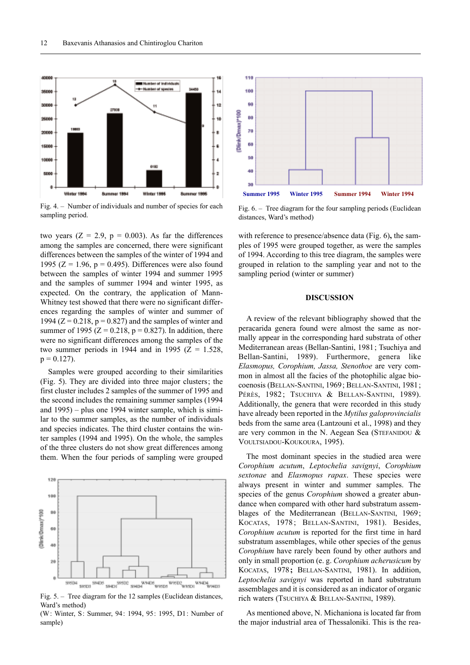

Fig. 4. – Number of individuals and number of species for each sampling period.

two years  $(Z = 2.9, p = 0.003)$ . As far the differences among the samples are concerned, there were significant differences between the samples of the winter of 1994 and 1995 ( $Z = 1.96$ ,  $p = 0.495$ ). Differences were also found between the samples of winter 1994 and summer 1995 and the samples of summer 1994 and winter 1995, as expected. On the contrary, the application of Mann-Whitney test showed that there were no significant differences regarding the samples of winter and summer of 1994 ( $Z = 0.218$ ,  $p = 0.827$ ) and the samples of winter and summer of 1995 ( $Z = 0.218$ ,  $p = 0.827$ ). In addition, there were no significant differences among the samples of the two summer periods in 1944 and in 1995 ( $Z = 1.528$ ,  $p = 0.127$ .

Samples were grouped according to their similarities (Fig. 5). They are divided into three major clusters; the first cluster includes 2 samples of the summer of 1995 and the second includes the remaining summer samples (1994 and 1995) – plus one 1994 winter sample, which is similar to the summer samples, as the number of individuals and species indicates. The third cluster contains the winter samples (1994 and 1995). On the whole, the samples of the three clusters do not show great differences among them. When the four periods of sampling were grouped



Fig. 5. – Tree diagram for the 12 samples (Euclidean distances, Ward's method)

(W: Winter, S: Summer, 94: 1994, 95: 1995, D1: Number of sample)



Fig. 6. – Tree diagram for the four sampling periods (Euclidean distances, Ward's method)

with reference to presence/absence data (Fig. 6)**,** the samples of 1995 were grouped together, as were the samples of 1994. According to this tree diagram, the samples were grouped in relation to the sampling year and not to the sampling period (winter or summer)

# **DISCUSSION**

A review of the relevant bibliography showed that the peracarida genera found were almost the same as normally appear in the corresponding hard substrata of other Mediterranean areas (Bellan-Santini, 1981; Tsuchiya and Bellan-Santini, 1989). Furthermore, genera like *Elasmopus, Corophium, Jassa, Stenothoe* are very common in almost all the facies of the photophilic algae biocoenosis (BELLAN-SANTINI, 1969; BELLAN-SANTINI, 1981; PÉRÈS, 1982; TSUCHIYA & BELLAN-SANTINI, 1989). Additionally, the genera that were recorded in this study have already been reported in the *Mytilus galoprovincialis* beds from the same area (Lantzouni et al., 1998) and they are very common in the N. Aegean Sea (STEFANIDOU & VOULTSIADOU-KOUKOURA, 1995).

The most dominant species in the studied area were *Corophium acutum*, *Leptochelia savignyi*, *Corophium sextonae* and *Elasmopus rapax*. These species were always present in winter and summer samples. The species of the genus *Corophium* showed a greater abundance when compared with other hard substratum assemblages of the Mediterranean (BELLAN-SANTINI, 1969; KOCATAS, 1978; BELLAN-SANTINI, 1981). Besides, *Corophium acutum* is reported for the first time in hard substratum assemblages, while other species of the genus *Corophium* have rarely been found by other authors and only in small proportion (e. g. *Corophium acherusicum* by KOCATAS, 1978**;** BELLAN-SANTINI, 1981). In addition, *Leptochelia savignyi* was reported in hard substratum assemblages and it is considered as an indicator of organic rich waters (TSUCHIYA & BELLAN-SANTINI, 1989).

As mentioned above, N. Michaniona is located far from the major industrial area of Thessaloniki. This is the rea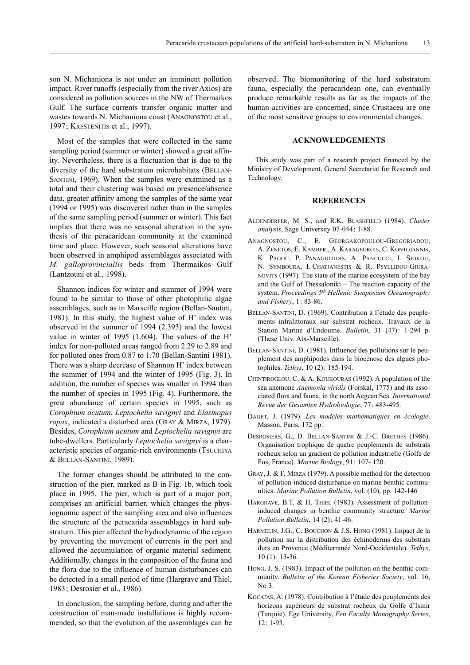son N. Michaniona is not under an imminent pollution impact. River runoffs (especially from the river Axios) are considered as pollution sources in the NW of Thermaikos Gulf. The surface currents transfer organic matter and wastes towards N. Michaniona coast (ANAGNOSTOU et al., 1997; KRESTENITIS et al., 1997).

Most of the samples that were collected in the same sampling period (summer or winter) showed a great affinity. Nevertheless, there is a fluctuation that is due to the diversity of the hard substratum microhabitats (BELLAN-SANTINI, 1969). When the samples were examined as a total and their clustering was based on presence/absence data, greater affinity among the samples of the same year (1994 or 1995) was discovered rather than in the samples of the same sampling period (summer or winter). This fact implies that there was no seasonal alteration in the synthesis of the peracaridean community at the examined time and place. However, such seasonal alterations have been observed in amphipod assemblages associated with *M. galloprovinciallis* beds from Thermaikos Gulf (Lantzouni et al., 1998).

Shannon indices for winter and summer of 1994 were found to be similar to those of other photophilic algae assemblages, such as in Marseille region (Bellan-Santini, 1981). In this study, the highest value of H' index was observed in the summer of 1994 (2.393) and the lowest value in winter of 1995 (1.604). The values of the H' index for non-polluted areas ranged from 2.29 to 2.89 and for polluted ones from 0.87 to 1.70 (Bellan-Santini 1981). There was a sharp decrease of Shannon H' index between the summer of 1994 and the winter of 1995 (Fig. 3). In addition, the number of species was smaller in 1994 than the number of species in 1995 (Fig. 4). Furthermore, the great abundance of certain species in 1995, such as *Corophium acutum*, *Leptochelia savignyi* and *Elasmopus rapax*, indicated a disturbed area (GRAY & MIRZA, 1979). Besides, *Corophium acutum* and *Leptochelia savignyi* are tube-dwellers. Particularly *Leptochelia savignyi* is a characteristic species of organic-rich environments (TSUCHIYA & BELLAN-SANTINI, 1989).

The former changes should be attributed to the construction of the pier, marked as B in Fig. 1b, which took place in 1995. The pier, which is part of a major port, comprises an artificial barrier, which changes the physiognomic aspect of the sampling area and also influences the structure of the peracarida assemblages in hard substratum. This pier affected the hydrodynamic of the region by preventing the movement of currents in the port and allowed the accumulation of organic material sediment. Additionally, changes in the composition of the fauna and the flora due to the influence of human disturbances can be detected in a small period of time (Hargrave and Thiel, 1983; Desrosier et al., 1986).

In conclusion, the sampling before, during and after the construction of man-made installations is highly recommended, so that the evolution of the assemblages can be

observed. The biomonitoring of the hard substratum fauna, especially the peracaridean one, can eventually produce remarkable results as far as the impacts of the human activities are concerned, since Crustacea are one of the most sensitive groups to environmental changes.

### **ACKNOWLEDGEMENTS**

This study was part of a research project financed by the Ministry of Development, General Secretariat for Research and Technology.

#### **REFERENCES**

- ALDENDERFER, M. S., and R.K. BLASHFIELD (1984). *Cluster analysis*, Sage University 07-044: 1-88.
- ANAGNOSTOU, C., E. GEORGAKOPOULOU-GREGORIADOU, A. ZENETOS, E. KAMBERI, A. KARAGEORGIS, C. KONTOJANNIS, K. PAGOU, P. PANAGIOTIDIS, A. PANCUCCI, I. SIOKOU, N. SYMBOURA, I. CHATJANESTIS & R. PSYLLIDOU-GIURA-NOVITS (1997). The state of the marine ecosystem of the bay and the Gulf of Thessaloniki – The reaction capacity of the system. *Proceedings 5th Hellenic Symposium Oceanography and Fishery*, 1: 83-86.
- BELLAN-SANTINI, D. (1969). Contribution à l'étude des peuplements infralittoraux sur substrat rocheux. Travaux de la Station Marine d'Endoume. *Bulletin*, 31 (47): 1-294 p. (These Univ. Aix-Marseille).
- BELLAN-SANTINI, D. (1981). Influence des pollutions sur le peuplement des amphipodes dans la biocénose des algues photophiles. *Tethys*, 10 (2): 185-194.
- CHINTIROGLOU, C. & A. KOUKOURAS (1992). A population of the sea anemone *Anemonia viridis* (Forskal, 1775) and its associated flora and fauna, in the north Aegean Sea. *International Revue der Gesamten Hydrobiologie*, 77: 483-495.
- DAGET, J. (1979). *Les modèles mathématiques en écologie*. Masson, Paris, 172 pp.
- DESROSIERS, G., D. BELLAN-SANTINI & J.-C. BRETHES (1986). Organisation trophique de quatre peuplements de substrats rocheux selon un gradient de pollution industrielle (Golfe de Fos, France). *Marine Biology*, 91: 107- 120.
- GRAY, J. & F. MIRZA (1979). A possible method for the detection of pollution-induced disturbance on marine benthic communities. *Marine Pollution Bulletin*, vol. (10), pp. 142-146
- HARGRAVE, B.T. & H. THIEL (1983). Assessment of pollutioninduced changes in benthic community structure. *Marine Pollution Bulletin*, 14 (2): 41-46.
- HARMELIN, J.G., C. BOUCHON & J.S. HONG (1981). Impact de la pollution sur la distribution des échinoderms des substrats durs en Provence (Méditerranée Nord-Occidentale). *Tethys*, 10 (1): 13-36.
- HONG, J. S. (1983). Impact of the pollution on the benthic community. *Bulletin of the Korean Fisheries Society*, vol. 16,  $No<sub>3</sub>$
- KOCATAS, A. (1978). Contribution à l'étude des peuplements des horizons supérieurs de substrat rocheux du Golfe d'Ismir (Turquie). Ege University, *Fen Faculty Monography Series*, 12: 1-93.